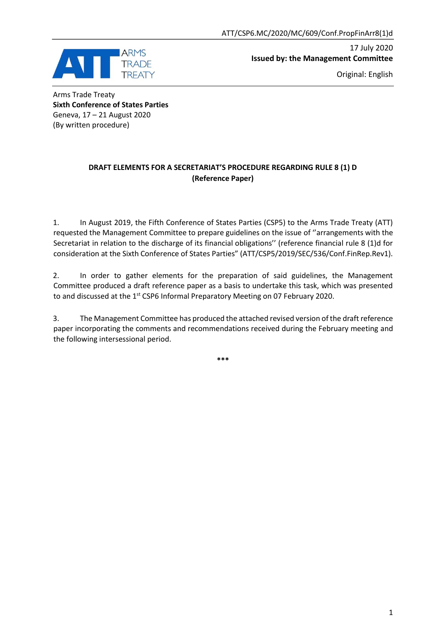

17 July 2020 **Issued by: the Management Committee**

Original: English

Arms Trade Treaty **Sixth Conference of States Parties** Geneva, 17 – 21 August 2020 (By written procedure)

# **DRAFT ELEMENTS FOR A SECRETARIAT'S PROCEDURE REGARDING RULE 8 (1) D (Reference Paper)**

1. In August 2019, the Fifth Conference of States Parties (CSP5) to the Arms Trade Treaty (ATT) requested the Management Committee to prepare guidelines on the issue of ''arrangements with the Secretariat in relation to the discharge of its financial obligations'' (reference financial rule 8 (1)d for consideration at the Sixth Conference of States Parties" (ATT/CSP5/2019/SEC/536/Conf.FinRep.Rev1).

2. In order to gather elements for the preparation of said guidelines, the Management Committee produced a draft reference paper as a basis to undertake this task, which was presented to and discussed at the 1<sup>st</sup> CSP6 Informal Preparatory Meeting on 07 February 2020.

3. The Management Committee has produced the attached revised version of the draft reference paper incorporating the comments and recommendations received during the February meeting and the following intersessional period.

**\*\*\***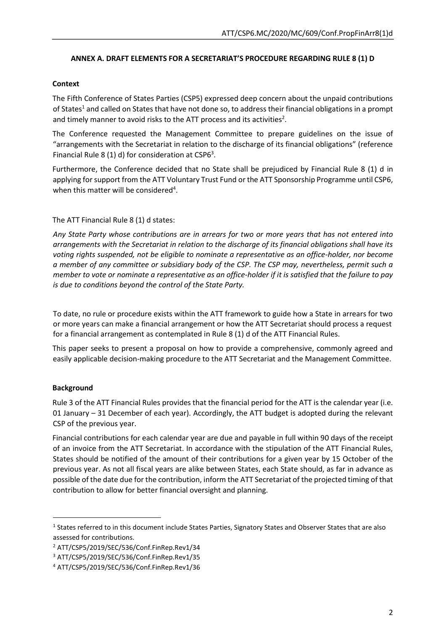### **ANNEX A. DRAFT ELEMENTS FOR A SECRETARIAT'S PROCEDURE REGARDING RULE 8 (1) D**

### **Context**

The Fifth Conference of States Parties (CSP5) expressed deep concern about the unpaid contributions of States<sup>1</sup> and called on States that have not done so, to address their financial obligations in a prompt and timely manner to avoid risks to the ATT process and its activities<sup>2</sup>.

The Conference requested the Management Committee to prepare guidelines on the issue of "arrangements with the Secretariat in relation to the discharge of its financial obligations" (reference Financial Rule 8 (1) d) for consideration at CSP6<sup>3</sup>.

Furthermore, the Conference decided that no State shall be prejudiced by Financial Rule 8 (1) d in applying for support from the ATT Voluntary Trust Fund or the ATT Sponsorship Programme until CSP6, when this matter will be considered<sup>4</sup>.

## The ATT Financial Rule 8 (1) d states:

*Any State Party whose contributions are in arrears for two or more years that has not entered into arrangements with the Secretariat in relation to the discharge of its financial obligations shall have its voting rights suspended, not be eligible to nominate a representative as an office-holder, nor become a member of any committee or subsidiary body of the CSP. The CSP may, nevertheless, permit such a member to vote or nominate a representative as an office-holder if it is satisfied that the failure to pay is due to conditions beyond the control of the State Party.* 

To date, no rule or procedure exists within the ATT framework to guide how a State in arrears for two or more years can make a financial arrangement or how the ATT Secretariat should process a request for a financial arrangement as contemplated in Rule 8 (1) d of the ATT Financial Rules.

This paper seeks to present a proposal on how to provide a comprehensive, commonly agreed and easily applicable decision-making procedure to the ATT Secretariat and the Management Committee.

#### **Background**

1

Rule 3 of the ATT Financial Rules provides that the financial period for the ATT is the calendar year (i.e. 01 January – 31 December of each year). Accordingly, the ATT budget is adopted during the relevant CSP of the previous year.

Financial contributions for each calendar year are due and payable in full within 90 days of the receipt of an invoice from the ATT Secretariat. In accordance with the stipulation of the ATT Financial Rules, States should be notified of the amount of their contributions for a given year by 15 October of the previous year. As not all fiscal years are alike between States, each State should, as far in advance as possible of the date due for the contribution, inform the ATT Secretariat of the projected timing of that contribution to allow for better financial oversight and planning.

<sup>&</sup>lt;sup>1</sup> States referred to in this document include States Parties, Signatory States and Observer States that are also assessed for contributions.

<sup>2</sup> ATT/CSP5/2019/SEC/536/Conf.FinRep.Rev1/34

<sup>3</sup> ATT/CSP5/2019/SEC/536/Conf.FinRep.Rev1/35

<sup>4</sup> ATT/CSP5/2019/SEC/536/Conf.FinRep.Rev1/36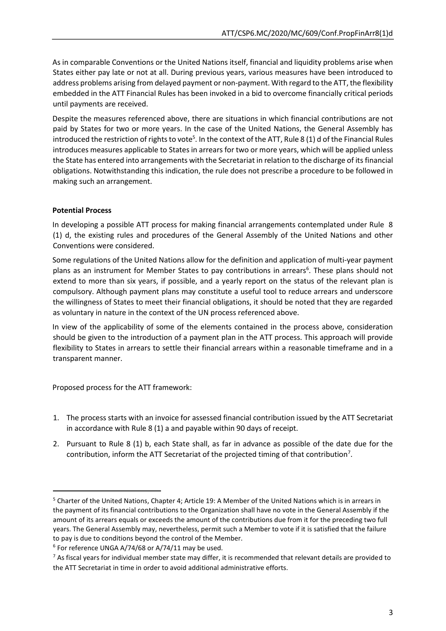As in comparable Conventions or the United Nations itself, financial and liquidity problems arise when States either pay late or not at all. During previous years, various measures have been introduced to address problems arising from delayed payment or non-payment. With regard to the ATT, the flexibility embedded in the ATT Financial Rules has been invoked in a bid to overcome financially critical periods until payments are received.

Despite the measures referenced above, there are situations in which financial contributions are not paid by States for two or more years. In the case of the United Nations, the General Assembly has introduced the restriction of rights to vote<sup>5</sup>. In the context of the ATT, Rule 8 (1) d of the Financial Rules introduces measures applicable to States in arrears for two or more years, which will be applied unless the State has entered into arrangements with the Secretariat in relation to the discharge of its financial obligations. Notwithstanding this indication, the rule does not prescribe a procedure to be followed in making such an arrangement.

## **Potential Process**

1

In developing a possible ATT process for making financial arrangements contemplated under Rule 8 (1) d, the existing rules and procedures of the General Assembly of the United Nations and other Conventions were considered.

Some regulations of the United Nations allow for the definition and application of multi-year payment plans as an instrument for Member States to pay contributions in arrears<sup>6</sup>. These plans should not extend to more than six years, if possible, and a yearly report on the status of the relevant plan is compulsory. Although payment plans may constitute a useful tool to reduce arrears and underscore the willingness of States to meet their financial obligations, it should be noted that they are regarded as voluntary in nature in the context of the UN process referenced above.

In view of the applicability of some of the elements contained in the process above, consideration should be given to the introduction of a payment plan in the ATT process. This approach will provide flexibility to States in arrears to settle their financial arrears within a reasonable timeframe and in a transparent manner.

Proposed process for the ATT framework:

- 1. The process starts with an invoice for assessed financial contribution issued by the ATT Secretariat in accordance with Rule 8 (1) a and payable within 90 days of receipt.
- 2. Pursuant to Rule 8 (1) b, each State shall, as far in advance as possible of the date due for the contribution, inform the ATT Secretariat of the projected timing of that contribution<sup>7</sup>.

<sup>5</sup> Charter of the United Nations, Chapter 4; Article 19: A Member of the United Nations which is in arrears in the payment of its financial contributions to the Organization shall have no vote in the General Assembly if the amount of its arrears equals or exceeds the amount of the contributions due from it for the preceding two full years. The General Assembly may, nevertheless, permit such a Member to vote if it is satisfied that the failure to pay is due to conditions beyond the control of the Member.

<sup>6</sup> For reference UNGA A/74/68 or A/74/11 may be used.

 $^7$  As fiscal years for individual member state may differ, it is recommended that relevant details are provided to the ATT Secretariat in time in order to avoid additional administrative efforts.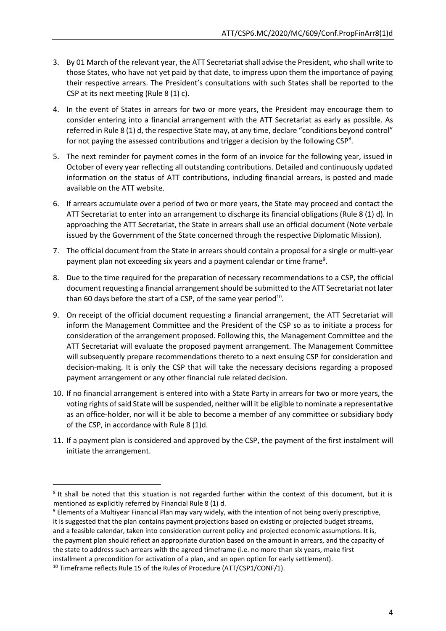- 3. By 01 March of the relevant year, the ATT Secretariat shall advise the President, who shall write to those States, who have not yet paid by that date, to impress upon them the importance of paying their respective arrears. The President's consultations with such States shall be reported to the CSP at its next meeting (Rule 8 (1) c).
- 4. In the event of States in arrears for two or more years, the President may encourage them to consider entering into a financial arrangement with the ATT Secretariat as early as possible. As referred in Rule 8 (1) d, the respective State may, at any time, declare "conditions beyond control" for not paying the assessed contributions and trigger a decision by the following  $\textsf{CSP}^8$ .
- 5. The next reminder for payment comes in the form of an invoice for the following year, issued in October of every year reflecting all outstanding contributions. Detailed and continuously updated information on the status of ATT contributions, including financial arrears, is posted and made available on the ATT website.
- 6. If arrears accumulate over a period of two or more years, the State may proceed and contact the ATT Secretariat to enter into an arrangement to discharge its financial obligations (Rule 8 (1) d). In approaching the ATT Secretariat, the State in arrears shall use an official document (Note verbale issued by the Government of the State concerned through the respective Diplomatic Mission).
- 7. The official document from the State in arrears should contain a proposal for a single or multi-year payment plan not exceeding six years and a payment calendar or time frame<sup>9</sup>.
- 8. Due to the time required for the preparation of necessary recommendations to a CSP, the official document requesting a financial arrangement should be submitted to the ATT Secretariat not later than 60 days before the start of a CSP, of the same year period<sup>10</sup>.
- 9. On receipt of the official document requesting a financial arrangement, the ATT Secretariat will inform the Management Committee and the President of the CSP so as to initiate a process for consideration of the arrangement proposed. Following this, the Management Committee and the ATT Secretariat will evaluate the proposed payment arrangement. The Management Committee will subsequently prepare recommendations thereto to a next ensuing CSP for consideration and decision-making. It is only the CSP that will take the necessary decisions regarding a proposed payment arrangement or any other financial rule related decision.
- 10. If no financial arrangement is entered into with a State Party in arrears for two or more years, the voting rights of said State will be suspended, neither will it be eligible to nominate a representative as an office-holder, nor will it be able to become a member of any committee or subsidiary body of the CSP, in accordance with Rule 8 (1)d.
- 11. If a payment plan is considered and approved by the CSP, the payment of the first instalment will initiate the arrangement.

**.** 

<sup>&</sup>lt;sup>8</sup> It shall be noted that this situation is not regarded further within the context of this document, but it is mentioned as explicitly referred by Financial Rule 8 (1) d.

<sup>9</sup> Elements of a Multiyear Financial Plan may vary widely, with the intention of not being overly prescriptive, it is suggested that the plan contains payment projections based on existing or projected budget streams, and a feasible calendar, taken into consideration current policy and projected economic assumptions. It is, the payment plan should reflect an appropriate duration based on the amount in arrears, and the capacity of the state to address such arrears with the agreed timeframe (i.e. no more than six years, make first installment a precondition for activation of a plan, and an open option for early settlement).

<sup>&</sup>lt;sup>10</sup> Timeframe reflects Rule 15 of the Rules of Procedure (ATT/CSP1/CONF/1).